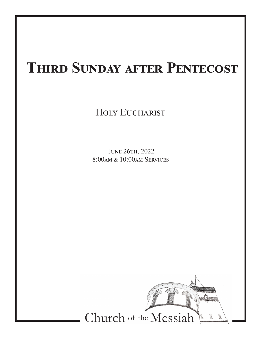# **THIRD SUNDAY AFTER PENTECOST**

HOLY EUCHARIST

JUNE 26TH, 2022 8:00am & 10:00am Services

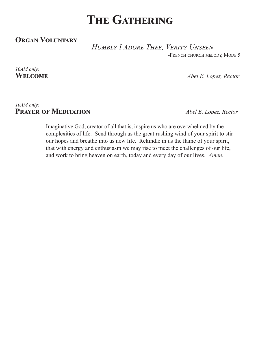# **The Gathering**

#### **Organ Voluntary**

## *Humbly I Adore Thee, Verity Unseen*

-French church melody, Mode 5

*10AM only:*

**Welcome** *Abel E. Lopez, Rector* 

*10AM only:* **PRAYER OF MEDITATION** *Abel E. Lopez, Rector* 

Imaginative God, creator of all that is, inspire us who are overwhelmed by the complexities of life. Send through us the great rushing wind of your spirit to stir our hopes and breathe into us new life. Rekindle in us the flame of your spirit, that with energy and enthusiasm we may rise to meet the challenges of our life, and work to bring heaven on earth, today and every day of our lives. *Amen.*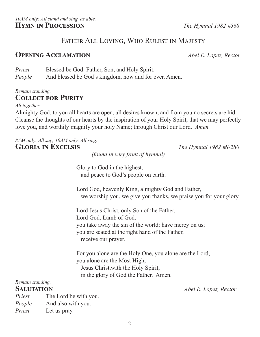#### Father All Loving, Who Rulest in Majesty

#### **Opening Acclamation** *Abel E. Lopez, Rector*

| Priest | Blessed be God: Father, Son, and Holy Spirit.         |
|--------|-------------------------------------------------------|
| People | And blessed be God's kingdom, now and for ever. Amen. |

#### *Remain standing.* **Collect for Purity**

*All together.*

Almighty God, to you all hearts are open, all desires known, and from you no secrets are hid: Cleanse the thoughts of our hearts by the inspiration of your Holy Spirit, that we may perfectly love you, and worthily magnify your holy Name; through Christ our Lord. *Amen.* 

*8AM only: All say; 10AM only: All sing.* **Gloria in Excelsis** *The Hymnal 1982 #S-280*

*(found in very front of hymnal)*

Glory to God in the highest, and peace to God's people on earth.

Lord God, heavenly King, almighty God and Father, we worship you, we give you thanks, we praise you for your glory.

Lord Jesus Christ, only Son of the Father, Lord God, Lamb of God, you take away the sin of the world: have mercy on us; you are seated at the right hand of the Father, receive our prayer.

For you alone are the Holy One, you alone are the Lord, you alone are the Most High, Jesus Christ,with the Holy Spirit, in the glory of God the Father. Amen.

*Remain standing.*

**Salutation** *Abel E. Lopez, Rector*

*Priest* The Lord be with you. *People* And also with you. *Priest* Let us pray.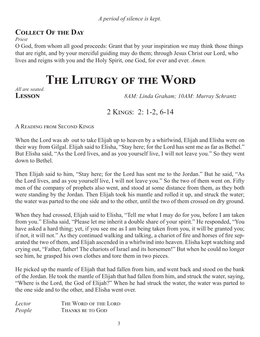#### *A period of silence is kept.*

#### **Collect Of the Day**

*Priest*

O God, from whom all good proceeds: Grant that by your inspiration we may think those things that are right, and by your merciful guiding may do them; through Jesus Christ our Lord, who lives and reigns with you and the Holy Spirit, one God, for ever and ever. *Amen.*

# **The Liturgy of the Word**

*All are seated.*

**Lesson** *8AM: Linda Graham; 10AM: Murray Schrantz*

#### 2 Kings: 2: 1-2, 6-14

A Reading from Second Kings

When the Lord was ab out to take Elijah up to heaven by a whirlwind, Elijah and Elisha were on their way from Gilgal. Elijah said to Elisha, "Stay here; for the Lord has sent me as far as Bethel." But Elisha said, "As the Lord lives, and as you yourself live, I will not leave you." So they went down to Bethel.

Then Elijah said to him, "Stay here; for the Lord has sent me to the Jordan." But he said, "As the Lord lives, and as you yourself live, I will not leave you." So the two of them went on. Fifty men of the company of prophets also went, and stood at some distance from them, as they both were standing by the Jordan. Then Elijah took his mantle and rolled it up, and struck the water; the water was parted to the one side and to the other, until the two of them crossed on dry ground.

When they had crossed, Elijah said to Elisha, "Tell me what I may do for you, before I am taken from you." Elisha said, "Please let me inherit a double share of your spirit." He responded, "You have asked a hard thing; yet, if you see me as I am being taken from you, it will be granted you; if not, it will not." As they continued walking and talking, a chariot of fire and horses of fire separated the two of them, and Elijah ascended in a whirlwind into heaven. Elisha kept watching and crying out, "Father, father! The chariots of Israel and its horsemen!" But when he could no longer see him, he grasped his own clothes and tore them in two pieces.

He picked up the mantle of Elijah that had fallen from him, and went back and stood on the bank of the Jordan. He took the mantle of Elijah that had fallen from him, and struck the water, saying, "Where is the Lord, the God of Elijah?" When he had struck the water, the water was parted to the one side and to the other, and Elisha went over.

| Lector | THE WORD OF THE LORD    |
|--------|-------------------------|
| People | <b>THANKS BE TO GOD</b> |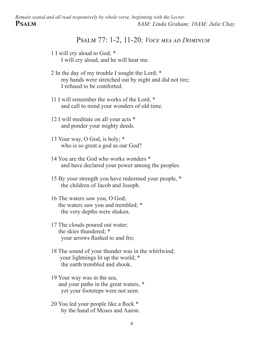*Remain seated and all read responsively by whole verse, beginning with the Lector.* **Psalm** *8AM: Linda Graham; 10AM: Julie Chay*

#### Psalm 77: 1-2, 11-20*; Voce mea ad Dominum*

- 1 I will cry aloud to God; \* I will cry aloud, and he will hear me.
- 2 In the day of my trouble I sought the Lord; \* my hands were stretched out by night and did not tire; I refused to be comforted.
- 11 I will remember the works of the Lord, \* and call to mind your wonders of old time.
- 12 I will meditate on all your acts \* and ponder your mighty deeds.
- 13 Your way, O God, is holy; \* who is so great a god as our God?
- 14 You are the God who works wonders \* and have declared your power among the peoples.
- 15 By your strength you have redeemed your people, \* the children of Jacob and Joseph.
- 16 The waters saw you, O God; the waters saw you and trembled; \* the very depths were shaken.
- 17 The clouds poured out water; the skies thundered; \* your arrows flashed to and fro;
- 18 The sound of your thunder was in the whirlwind; your lightnings lit up the world; \* the earth trembled and shook.
- 19 Your way was in the sea, and your paths in the great waters, \* yet your footsteps were not seen.
- 20 You led your people like a flock \* by the hand of Moses and Aaron.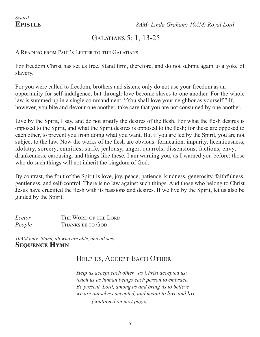**Epistle** *8AM: Linda Graham; 10AM: Royal Lord*

#### Galatians 5: 1, 13-25

#### A Reading from Paul's Letter to the Galatians

For freedom Christ has set us free. Stand firm, therefore, and do not submit again to a yoke of slavery.

For you were called to freedom, brothers and sisters; only do not use your freedom as an opportunity for self-indulgence, but through love become slaves to one another. For the whole law is summed up in a single commandment, "You shall love your neighbor as yourself." If, however, you bite and devour one another, take care that you are not consumed by one another.

Live by the Spirit, I say, and do not gratify the desires of the flesh. For what the flesh desires is opposed to the Spirit, and what the Spirit desires is opposed to the flesh; for these are opposed to each other, to prevent you from doing what you want. But if you are led by the Spirit, you are not subject to the law. Now the works of the flesh are obvious: fornication, impurity, licentiousness, idolatry, sorcery, enmities, strife, jealousy, anger, quarrels, dissensions, factions, envy, drunkenness, carousing, and things like these. I am warning you, as I warned you before: those who do such things will not inherit the kingdom of God.

By contrast, the fruit of the Spirit is love, joy, peace, patience, kindness, generosity, faithfulness, gentleness, and self-control. There is no law against such things. And those who belong to Christ Jesus have crucified the flesh with its passions and desires. If we live by the Spirit, let us also be guided by the Spirit.

| Lector | THE WORD OF THE LORD    |
|--------|-------------------------|
| People | <b>THANKS BE TO GOD</b> |

*10AM only: Stand, all who are able, and all sing.*  **Sequence Hymn** 

#### HELP US, ACCEPT EACH OTHER

 *Help us accept each other as Christ accepted us; teach us as human beings each person to embrace. Be present, Lord, among us and bring us to believe we are ourselves accepted, and meant to love and live. (continued on next page)*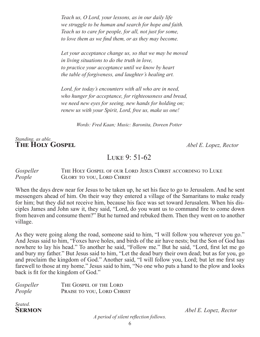*Teach us, O Lord, your lessons, as in our daily life we struggle to be human and search for hope and faith. Teach us to care for people, for all, not just for some, to love them as we find them, or as they may become.*

*Let your acceptance change us, so that we may be moved in living situations to do the truth in love, to practice your acceptance until we know by heart the table of forgiveness, and laughter's healing art.*

*Lord, for today's encounters with all who are in need, who hunger for acceptance, for righteousness and bread, we need new eyes for seeing, new hands for holding on; renew us with your Spirit, Lord, free us, make us one!*

*Words: Fred Kaan; Music: Baronita, Doreen Potter*

#### *Standing, as able.* **The Holy Gospel** *Abel E. Lopez, Rector*

#### Luke 9: 51-62

*Gospeller* THE HOLY GOSPEL OF OUR LORD JESUS CHRIST ACCORDING TO LUKE *People* **GLORY TO YOU, LORD CHRIST** 

When the days drew near for Jesus to be taken up, he set his face to go to Jerusalem. And he sent messengers ahead of him. On their way they entered a village of the Samaritans to make ready for him; but they did not receive him, because his face was set toward Jerusalem. When his disciples James and John saw it, they said, "Lord, do you want us to command fire to come down from heaven and consume them?" But he turned and rebuked them. Then they went on to another village.

As they were going along the road, someone said to him, "I will follow you wherever you go." And Jesus said to him, "Foxes have holes, and birds of the air have nests; but the Son of God has nowhere to lay his head." To another he said, "Follow me." But he said, "Lord, first let me go and bury my father." But Jesus said to him, "Let the dead bury their own dead; but as for you, go and proclaim the kingdom of God." Another said, "I will follow you, Lord; but let me first say farewell to those at my home." Jesus said to him, "No one who puts a hand to the plow and looks back is fit for the kingdom of God."

| Gospeller | THE GOSPEL OF THE LORD     |
|-----------|----------------------------|
| People    | PRAISE TO YOU, LORD CHRIST |

*Seated.*

**Sermon** *Abel E. Lopez, Rector*

*A period of silent reflection follows.*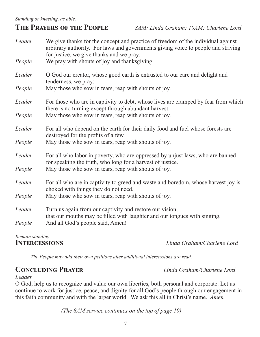*Standing or kneeling, as able.*

**The Prayers of the People** *8AM: Linda Graham; 10AM: Charlene Lord* 

## *Leader* We give thanks for the concept and practice of freedom of the individual against arbitrary authority. For laws and governments giving voice to people and striving for justice, we give thanks and we pray: *People* We pray with shouts of joy and thanksgiving. *Leader* O God our creator, whose good earth is entrusted to our care and delight and tenderness, we pray: *People* May those who sow in tears, reap with shouts of joy. *Leader* For those who are in captivity to debt, whose lives are cramped by fear from which there is no turning except through abundant harvest. *People* May those who sow in tears, reap with shouts of joy. *Leader* For all who depend on the earth for their daily food and fuel whose forests are destroyed for the profits of a few. *People* May those who sow in tears, reap with shouts of joy. *Leader* For all who labor in poverty, who are oppressed by unjust laws, who are banned for speaking the truth, who long for a harvest of justice. *People* May those who sow in tears, reap with shouts of joy. *Leader* For all who are in captivity to greed and waste and boredom, whose harvest joy is choked with things they do not need. *People* May those who sow in tears, reap with shouts of joy. *Leader* Turn us again from our captivity and restore our vision, that our mouths may be filled with laughter and our tongues with singing. *People* And all God's people said, Amen!

*Remain standing.*

**Intercessions** *Linda Graham/Charlene Lord*

*The People may add their own petitions after additional intercessions are read.*

**Concluding Prayer** *Linda Graham/Charlene Lord*

*Leader*

O God, help us to recognize and value our own liberties, both personal and corporate. Let us continue to work for justice, peace, and dignity for all God's people through our engagement in this faith community and with the larger world. We ask this all in Christ's name. *Amen.*

*(The 8AM service continues on the top of page 10)*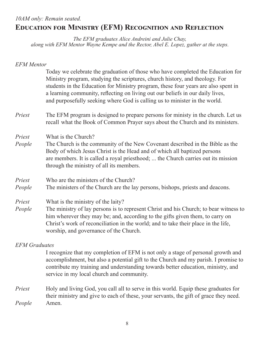#### *10AM only: Remain seated.* **Education for Ministry (EFM) Recognition and Reflection**

*The EFM graduates Alice Andreini and Julie Chay, along with EFM Mentor Wayne Kempe and the Rector, Abel E. Lopez, gather at the steps.*

#### *EFM Mentor*

|                      | Today we celebrate the graduation of those who have completed the Education for<br>Ministry program, studying the scriptures, church history, and theology. For<br>students in the Education for Ministry program, these four years are also spent in<br>a learning community, reflecting on living out our beliefs in our daily lives,<br>and purposefully seeking where God is calling us to minister in the world. |
|----------------------|-----------------------------------------------------------------------------------------------------------------------------------------------------------------------------------------------------------------------------------------------------------------------------------------------------------------------------------------------------------------------------------------------------------------------|
| Priest               | The EFM program is designed to prepare persons for ministy in the church. Let us<br>recall what the Book of Common Prayer says about the Church and its ministers.                                                                                                                                                                                                                                                    |
| Priest<br>People     | What is the Church?<br>The Church is the community of the New Covenant described in the Bible as the<br>Body of which Jesus Christ is the Head and of which all baptized persons<br>are members. It is called a royal priesthood;  the Church carries out its mission<br>through the ministry of all its members.                                                                                                     |
| Priest<br>People     | Who are the ministers of the Church?<br>The ministers of the Church are the lay persons, bishops, priests and deacons.                                                                                                                                                                                                                                                                                                |
| Priest<br>People     | What is the ministry of the laity?<br>The ministry of lay persons is to represent Christ and his Church; to bear witness to<br>him wherever they may be; and, according to the gifts given them, to carry on<br>Christ's work of reconciliation in the world; and to take their place in the life,<br>worship, and governance of the Church.                                                                          |
| <b>EFM</b> Graduates |                                                                                                                                                                                                                                                                                                                                                                                                                       |
|                      | I recognize that my completion of EFM is not only a stage of personal growth and<br>accomplishment, but also a potential gift to the Church and my parish. I promise to<br>contribute my training and understanding towards better education, ministry, and<br>service in my local church and community.                                                                                                              |
| Priest<br>People     | Holy and living God, you call all to serve in this world. Equip these graduates for<br>their ministry and give to each of these, your servants, the gift of grace they need.<br>Amen.                                                                                                                                                                                                                                 |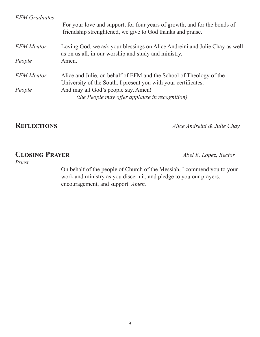| <b>EFM</b> Graduates | For your love and support, for four years of growth, and for the bonds of<br>friendship strenghtened, we give to God thanks and praise. |
|----------------------|-----------------------------------------------------------------------------------------------------------------------------------------|
| <b>EFM</b> Mentor    | Loving God, we ask your blessings on Alice Andreini and Julie Chay as well<br>as on us all, in our worship and study and ministry.      |
| People               | Amen.                                                                                                                                   |
| <b>EFM</b> Mentor    | Alice and Julie, on behalf of EFM and the School of Theology of the<br>University of the South, I present you with your certificates.   |
| People               | And may all God's people say, Amen!<br>(the People may offer applause in recognition)                                                   |

**Reflections** *Alice Andreini & Julie Chay*

#### **Closing Prayer** *Abel E. Lopez, Rector*

*Priest*

On behalf of the people of Church of the Messiah, I commend you to your work and ministry as you discern it, and pledge to you our prayers, encouragement, and support. *Amen.*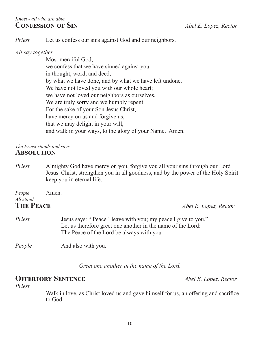#### *Kneel - all who are able.*  **Confession of Sin** *Abel E. Lopez, Rector*

*Priest* Let us confess our sins against God and our neighbors.

#### *All say together.*

Most merciful God. we confess that we have sinned against you in thought, word, and deed, by what we have done, and by what we have left undone. We have not loved you with our whole heart; we have not loved our neighbors as ourselves. We are truly sorry and we humbly repent. For the sake of your Son Jesus Christ, have mercy on us and forgive us; that we may delight in your will, and walk in your ways, to the glory of your Name. Amen.

#### *The Priest stands and says.* **Absolution**

*Priest* Almighty God have mercy on you, forgive you all your sins through our Lord Jesus Christ, strengthen you in all goodness, and by the power of the Holy Spirit keep you in eternal life.

## *People* Amen. *All stand.*<br>THE PEACE

**The Peace** *Abel E. Lopez, Rector*

| Priest | Jesus says: "Peace I leave with you; my peace I give to you." |
|--------|---------------------------------------------------------------|
|        | Let us therefore greet one another in the name of the Lord:   |
|        | The Peace of the Lord be always with you.                     |
|        |                                                               |

*People* And also with you.

*Greet one another in the name of the Lord.*

#### **Offertory Sentence** *Abel E. Lopez, Rector*

*Priest*

Walk in love, as Christ loved us and gave himself for us, an offering and sacrifice to God.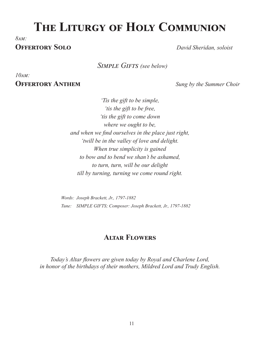# **The Liturgy of Holy Communion**

*8am:* **Offertory Solo** *David Sheridan, soloist*

 *Simple Gifts (see below)*

#### *10am:* **OFFERTORY ANTHEM** *Sung by the Summer Choir*

*'Tis the gift to be simple, 'tis the gift to be free, 'tis the gift to come down where we ought to be, and when we find ourselves in the place just right, 'twill be in the valley of love and delight. When true simplicity is gained to bow and to bend we shan't be ashamed, to turn, turn, will be our delight till by turning, turning we come round right.*

*Words: Joseph Brackett, Jr., 1797-1882 Tune: SIMPLE GIFTS; Composer: Joseph Brackett, Jr., 1797-1882*

#### **Altar Flowers**

*Today's Altar flowers are given today by Royal and Charlene Lord, in honor of the birthdays of their mothers, Mildred Lord and Trudy English.*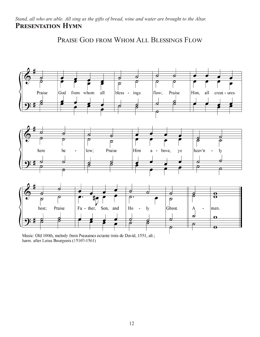*Stand, all who are able. All sing as the gifts of bread, wine and water are brought to the Altar.* **Presentation Hymn** 



PRAISE GOD FROM WHOM ALL BLESSINGS FLOW

Music: Old 100th, melody from Pseaumes octante trois de David, 1551, alt.; harm. after Loius Bourgeois (1510?-1561)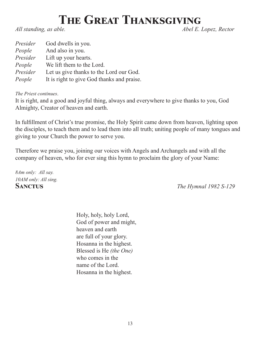# **THE GREAT THANKSGIVING**<br>ble. Abel E. Lopez, Rector

*All standing, as able.* 

| Presider | God dwells in you.                         |
|----------|--------------------------------------------|
| People   | And also in you.                           |
| Presider | Lift up your hearts.                       |
| People   | We lift them to the Lord.                  |
| Presider | Let us give thanks to the Lord our God.    |
| People   | It is right to give God thanks and praise. |

*The Priest continues*.

It is right, and a good and joyful thing, always and everywhere to give thanks to you, God Almighty, Creator of heaven and earth.

In fulfillment of Christ's true promise, the Holy Spirit came down from heaven, lighting upon the disciples, to teach them and to lead them into all truth; uniting people of many tongues and giving to your Church the power to serve you.

Therefore we praise you, joining our voices with Angels and Archangels and with all the company of heaven, who for ever sing this hymn to proclaim the glory of your Name:

*8Am only: All say. 10AM only: All sing.*

**Sanctus** *The Hymnal 1982 S-129*

Holy, holy, holy Lord, God of power and might, heaven and earth are full of your glory. Hosanna in the highest. Blessed is He *(the One)* who comes in the name of the Lord. Hosanna in the highest.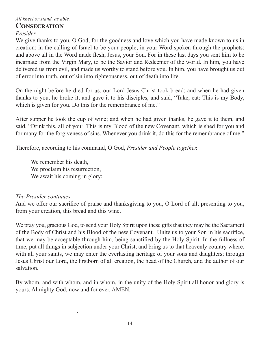#### *All kneel or stand, as able.*

#### **Consecration**

#### *Presider*

We give thanks to you, O God, for the goodness and love which you have made known to us in creation; in the calling of Israel to be your people; in your Word spoken through the prophets; and above all in the Word made flesh, Jesus, your Son. For in these last days you sent him to be incarnate from the Virgin Mary, to be the Savior and Redeemer of the world. In him, you have delivered us from evil, and made us worthy to stand before you. In him, you have brought us out of error into truth, out of sin into righteousness, out of death into life.

On the night before he died for us, our Lord Jesus Christ took bread; and when he had given thanks to you, he broke it, and gave it to his disciples, and said, "Take, eat: This is my Body, which is given for you. Do this for the remembrance of me."

After supper he took the cup of wine; and when he had given thanks, he gave it to them, and said, "Drink this, all of you: This is my Blood of the new Covenant, which is shed for you and for many for the forgiveness of sins. Whenever you drink it, do this for the remembrance of me."

Therefore, according to his command, O God, *Presider and People together.*

We remember his death, We proclaim his resurrection, We await his coming in glory;

.

#### *The Presider continues.*

And we offer our sacrifice of praise and thanksgiving to you, O Lord of all; presenting to you, from your creation, this bread and this wine.

We pray you, gracious God, to send your Holy Spirit upon these gifts that they may be the Sacrament of the Body of Christ and his Blood of the new Covenant. Unite us to your Son in his sacrifice, that we may be acceptable through him, being sanctified by the Holy Spirit. In the fullness of time, put all things in subjection under your Christ, and bring us to that heavenly country where, with all your saints, we may enter the everlasting heritage of your sons and daughters; through Jesus Christ our Lord, the firstborn of all creation, the head of the Church, and the author of our salvation.

By whom, and with whom, and in whom, in the unity of the Holy Spirit all honor and glory is yours, Almighty God, now and for ever. AMEN.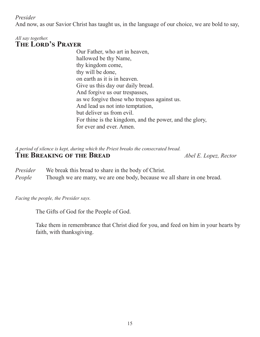#### *Presider*

And now, as our Savior Christ has taught us, in the language of our choice, we are bold to say,

#### *All say together.* **The Lord's Prayer**

Our Father, who art in heaven, hallowed be thy Name, thy kingdom come, thy will be done, on earth as it is in heaven. Give us this day our daily bread. And forgive us our trespasses, as we forgive those who trespass against us. And lead us not into temptation, but deliver us from evil. For thine is the kingdom, and the power, and the glory, for ever and ever. Amen.

*A period of silence is kept, during which the Priest breaks the consecrated bread.* **The Breaking of the Bread** *Abel E. Lopez, Rector*

*Presider* We break this bread to share in the body of Christ.

*People* Though we are many, we are one body, because we all share in one bread.

*Facing the people, the Presider says.*

The Gifts of God for the People of God.

Take them in remembrance that Christ died for you, and feed on him in your hearts by faith, with thanksgiving.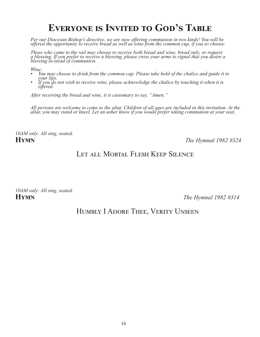## **Everyone is Invited to God's Table**

*Per our Diocesan Bishop's directive, we are now offering communion in two kinds! You will be offered the opportunity to receive bread as well as wine from the common cup, if you so choose.*

*Those who come to the rail may choose to receive both bread and wine, bread only, or request a blessing. If you prefer to receive a blessing, please cross your arms to signal that you desire a blessing in-stead of communion.*

- Wine:<br>• You may choose to drink from the common cup. Please take hold of the chalice and guide it to *• You may choose to drink from the common cup. Please take hold of the chalice and guide it to*
- *your lips. • If you do not wish to receive wine, please acknowledge the chalice by touching it when it is offered.*

*After receiving the bread and wine, it is customary to say, "Amen."*

*All persons are welcome to come to the altar. Children of all ages are included in this invitation. At the altar, you may stand or kneel. Let an usher know if you would prefer taking communion at your seat.*

*10AM only: All sing, seated.* **Hymn** *The Hymnal 1982 #324*

#### Let all Mortal Flesh Keep Silence

*10AM only: All sing, seated.* **Hymnal 1982 #314** 

Humbly I Adore Thee, Verity Unseen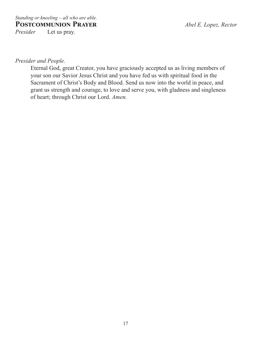#### *Presider and People.*

Eternal God, great Creator, you have graciously accepted us as living members of your son our Savior Jesus Christ and you have fed us with spiritual food in the Sacrament of Christ's Body and Blood. Send us now into the world in peace, and grant us strength and courage, to love and serve you, with gladness and singleness of heart; through Christ our Lord. *Amen.*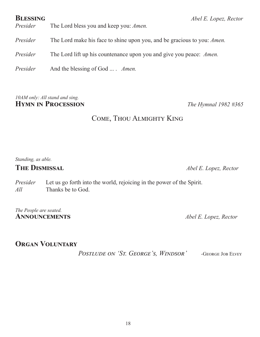*Presider* The Lord bless you and keep you: *Amen.* 

*Presider* The Lord make his face to shine upon you, and be gracious to you: *Amen.*

*Presider* The Lord lift up his countenance upon you and give you peace: *Amen.* 

*Presider* And the blessing of God ... . *Amen.*

#### *10AM only: All stand and sing.* **HYMN IN PROCESSION** The Hymnal 1982 #365

#### Come, Thou Almighty King

*Standing, as able.*

**The Dismissal** *Abel E. Lopez, Rector* 

*Presider* Let us go forth into the world, rejoicing in the power of the Spirit. *All* Thanks be to God.

*The People are seated.* **Announcements** *Abel E. Lopez, Rector* 

#### **Organ Voluntary**

*Postlude on 'St. George's, Windsor'* -George Job Elvey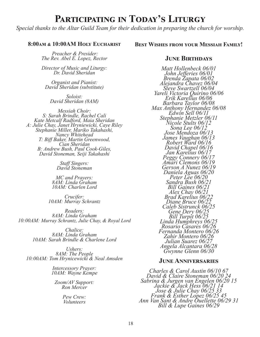## **Participating in Today's Liturgy**

*Special thanks to the Altar Guild Team for their dedication in preparing the church for worship.*

#### **8:00am & 10:00AM Holy Eucharist**

 *Preacher & Presider: The Rev. Abel E. Lopez, Rector*

*Director of Music and Liturgy: Dr. David Sheridan*

*Organist and Pianist: David Sheridan (substitute)*

*Soloist: David Sheridan (8AM)*

*Messiah Choir: S: Sarah Brindle, Rachel Cali Kate Metcalf Radford, Maia Sheridan A: Julie Chay, Janet Hryniewicki, Caye Riley Stephanie Miller, Mariko Takahashi, Nancy Whitehead T: Biff Baker, Martin Greenwood, Cian Sheridan B: Andrew Bush, Paul Cook-Giles, David Stoneman, Seiji Takahashi*

> *Staff Singers: David Stoneman*

*MC and Prayers: 8AM: Linda Graham 10AM: Charlen Lord*

*Crucifer: 10AM: Murray Schrantz*

*Readers: 8AM: Linda Graham 10:00AM: Murray Schrantz, Julie Chay, & Royal Lord*

> *Chalice: 8AM: Linda Graham 10AM: Sarah Brindle & Charlene Lord*

*Ushers:*<br>8AM: The People *8AM: The People 10:00AM: Tom Hrynicewicki & Neal Amsden*

> *Intercessory Prayer: 10AM: Wayne Kempe*

*Zoom/AV Support: Ron Mercer*

> *Pew Crew: Volunteers*

#### **Best Wishes from your Messiah Family!**

#### **June Birthdays**

*Matt Hollenbeck 06/01 John Jefferies 06/01 Brenda Zapata 06/02 Alejandra Chavez 06/04 Steve Swartzell 06/04 Yareli Victoria Quirino 06/06 Erik Karelius 06/06 Barbara Taylor 06/08 Max Anthony Hernandez 06/08 Edwin Sell 06/11 Stephanie Metzler 06/11 Nicole Stults 06/12 Sona Lee 06/12 Jose Mendoza 06/13 James Vaughan 06/13 Robert Ward 06/16 David Chapel 06/16 Jan Karelius 06/17 Peggy Connery 06/17 Amari Clemons 06/19 Gerson A Nunez 06/19 Daniela Aguas 06/20 Peter Lee 06/20 Sandra Bush 06/21 Bill Gaines 06/21 Alex Chay 06/21 Brad Karelius 06/22 Diane Bruce 06/22 Caleb Sistrunck 06/25 Gene Dery 06/25 Bill Turpit 06/25 Linda Humphreys 06/25 Rosario Casares 06/26 Fernanda Montero 06/26 Zahir Montero 06/26 Julian Suarez 06/27 Angela Alcantara 06/28 Gwynne Glenn 06/30*

#### **June Anniversaries**

*Charles & Carol Austin 06/10 67 David & Claire Stoneman 06/20 24 Sabrina & Jurgen van Engelen 06/20 15 Jackie & Jack Hess 06/21 14 Jose & Julie Chay 06/25 33 Frank & Esther Lopez 06/25 45 Ann Van Sant & Andre Ouellette 06/29 31 Bill & Lupe Gaines 06/29*